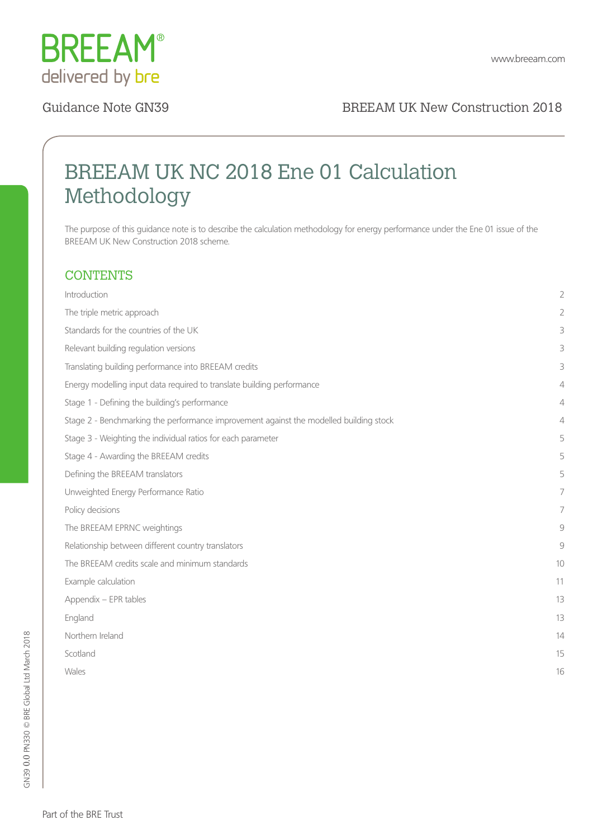

# BREEAM UK NC 2018 Ene 01 Calculation Methodology

The purpose of this guidance note is to describe the calculation methodology for energy performance under the Ene 01 issue of the BREEAM UK New Construction 2018 scheme.

## **CONTENTS**

| Introduction                                                                           | $\overline{2}$ |
|----------------------------------------------------------------------------------------|----------------|
| The triple metric approach                                                             | $\overline{2}$ |
| Standards for the countries of the UK                                                  | 3              |
| Relevant building regulation versions                                                  | 3              |
| Translating building performance into BREEAM credits                                   | 3              |
| Energy modelling input data required to translate building performance                 | 4              |
| Stage 1 - Defining the building's performance                                          | 4              |
| Stage 2 - Benchmarking the performance improvement against the modelled building stock | 4              |
| Stage 3 - Weighting the individual ratios for each parameter                           | 5              |
| Stage 4 - Awarding the BREEAM credits                                                  | 5              |
| Defining the BREEAM translators                                                        | 5              |
| Unweighted Energy Performance Ratio                                                    | 7              |
| Policy decisions                                                                       | 7              |
| The BREEAM EPRNC weightings                                                            | 9              |
| Relationship between different country translators                                     | 9              |
| The BREEAM credits scale and minimum standards                                         | 10             |
| Example calculation                                                                    | 11             |
| Appendix - EPR tables                                                                  | 13             |
| England                                                                                | 13             |
| Northern Ireland                                                                       | 14             |
| Scotland                                                                               | 15             |
| Wales                                                                                  | 16             |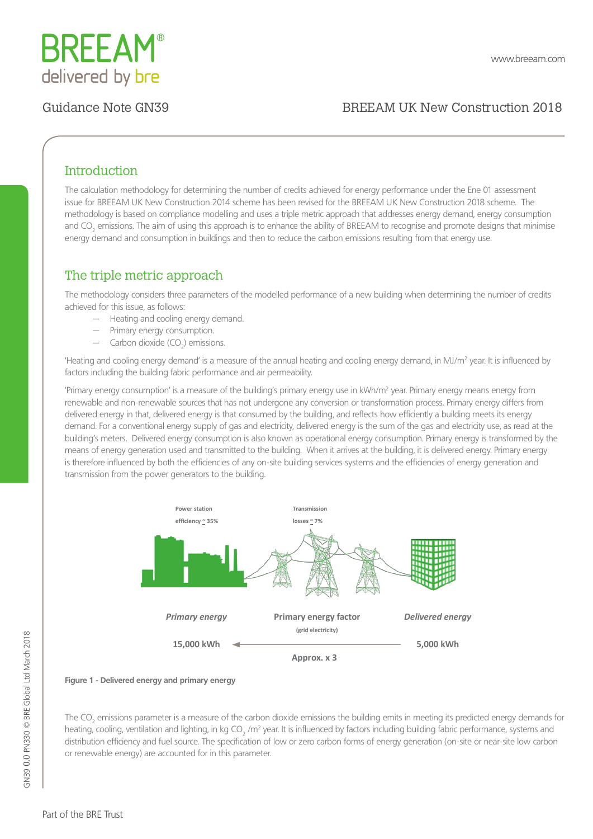

# Guidance Note GN39

## Guidance Note GN39 BREEAM UK New Construction 2018

## Introduction

The calculation methodology for determining the number of credits achieved for energy performance under the Ene 01 assessment issue for BREEAM UK New Construction 2014 scheme has been revised for the BREEAM UK New Construction 2018 scheme. The methodology is based on compliance modelling and uses a triple metric approach that addresses energy demand, energy consumption and  $CO_2$  emissions. The aim of using this approach is to enhance the ability of BREEAM to recognise and promote designs that minimise energy demand and consumption in buildings and then to reduce the carbon emissions resulting from that energy use.

#### The triple metric approach The triple metric approach  $T_{\rm H}$  methodology considers of the modelled performance of a new building when determining  $T_{\rm H}$

The methodology considers three parameters of the modelled performance of a new building when determining the number of credits achieved for this issue, as follows:

- Heating and cooling energy demand.
- $-$  Primary energy consumption.
- $-$  Carbon dioxide (CO<sub>2</sub>) emissions.

'Heating and cooling energy demand' is a measure of the annual heating and cooling energy demand, in MJ/m<sup>2</sup> year. It is influenced by factors including the building fabric performance and air permeability. 'Heating and cooling energy demand' is a measure of the annual heating and cooling energy demand, in MJ/m2 year. It is influenced by factors including the building factors including factors including factors with the building factors of the building factors of the building factors of the building factors of the building factors of the building factors o

'Primary energy consumption' is a measure of the building's primary energy use in kWh/m² year. Primary energy means energy from rimary chergy consumption is a measure of the building's pinnary energy use in KWITHT year. Thinary energy means energy librition process. Primary energy differs from delivered energy in that, delivered energy is that consumed by the building, and reflects how efficiently a building meets its energy demand. For a conventional energy supply of gas and electricity, delivered energy is the sum of the gas and electricity use, as read at the building's meters. Delivered energy consumption is also known as operational energy consumption. Primary energy is transformed by the means of energy generation used and transmitted to the building. When it arrives at the building, it is delivered energy. Primary energy is therefore influenced by both the efficiencies of any on-site building services systems and the efficiencies of energy generation and transmission from the power generators to the building. generation and transmission from the power generators to the building.



**Figure 1 - Delivered energy and primary energy Figure 1 - Delivered energy and primary energy**

The CO<sub>2</sub> emissions parameter is a measure of the carbon dioxide emissions the building emits in meeting its predicted energy demands for heating, cooling, ventilation and lighting, in kg CO<sub>2</sub> /m<sup>2</sup> year. It is influenced by factors including building fabric performance, systems and distribution efficiency and fuel source. The specification of low or zero carbon forms of energy generation (on-site or near-site low carbon or renewable energy) are accounted for in this parameter.  $\frac{1}{\sqrt{2}}$ e<br>Ca<br>Da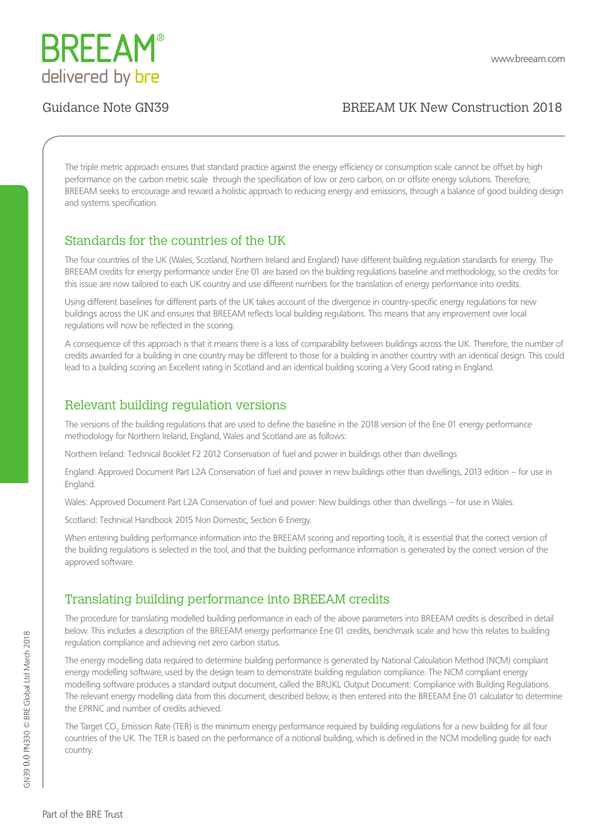

The triple metric approach ensures that standard practice against the energy efficiency or consumption scale cannot be offset by high performance on the carbon metric scale through the specification of low or zero carbon, on or offsite energy solutions. Therefore, BREEAM seeks to encourage and reward a holistic approach to reducing energy and emissions, through a balance of good building design and systems specification.

## Standards for the countries of the UK

The four countries of the UK (Wales, Scotland, Northern Ireland and England) have different building regulation standards for energy. The BREEAM credits for energy performance under Ene 01 are based on the building regulations baseline and methodology, so the credits for this issue are now tailored to each UK country and use different numbers for the translation of energy performance into credits.

Using different baselines for different parts of the UK takes account of the divergence in country-specific energy regulations for new buildings across the UK and ensures that BREEAM reflects local building regulations. This means that any improvement over local regulations will now be reflected in the scoring.

A consequence of this approach is that it means there is a loss of comparability between buildings across the UK. Therefore, the number of credits awarded for a building in one country may be different to those for a building in another country with an identical design. This could lead to a building scoring an Excellent rating in Scotland and an identical building scoring a Very Good rating in England.

## Relevant building regulation versions

The versions of the building regulations that are used to define the baseline in the 2018 version of the Ene 01 energy performance methodology for Northern Ireland, England, Wales and Scotland are as follows:

Northern Ireland: Technical Booklet F2 2012 Conservation of fuel and power in buildings other than dwellings

England: Approved Document Part L2A Conservation of fuel and power in new buildings other than dwellings, 2013 edition – for use in England.

Wales: Approved Document Part L2A Conservation of fuel and power: New buildings other than dwellings – for use in Wales.

Scotland: Technical Handbook 2015 Non Domestic, Section 6 Energy.

When entering building performance information into the BREEAM scoring and reporting tools, it is essential that the correct version of the building regulations is selected in the tool, and that the building performance information is generated by the correct version of the approved software.

## Translating building performance into BREEAM credits

The procedure for translating modelled building performance in each of the above parameters into BREEAM credits is described in detail below. This includes a description of the BREEAM energy performance Ene 01 credits, benchmark scale and how this relates to building regulation compliance and achieving net zero carbon status.

The energy modelling data required to determine building performance is generated by National Calculation Method (NCM) compliant energy modelling software, used by the design team to demonstrate building regulation compliance. The NCM compliant energy modelling software produces a standard output document, called the BRUKL Output Document: Compliance with Building Regulations. The relevant energy modelling data from this document, described below, is then entered into the BREEAM Ene 01 calculator to determine the EPRNC and number of credits achieved.

The Target CO<sub>2</sub> Emission Rate (TER) is the minimum energy performance required by building regulations for a new building for all four countries of the UK. The TER is based on the performance of a notional building, which is defined in the NCM modelling guide for each country.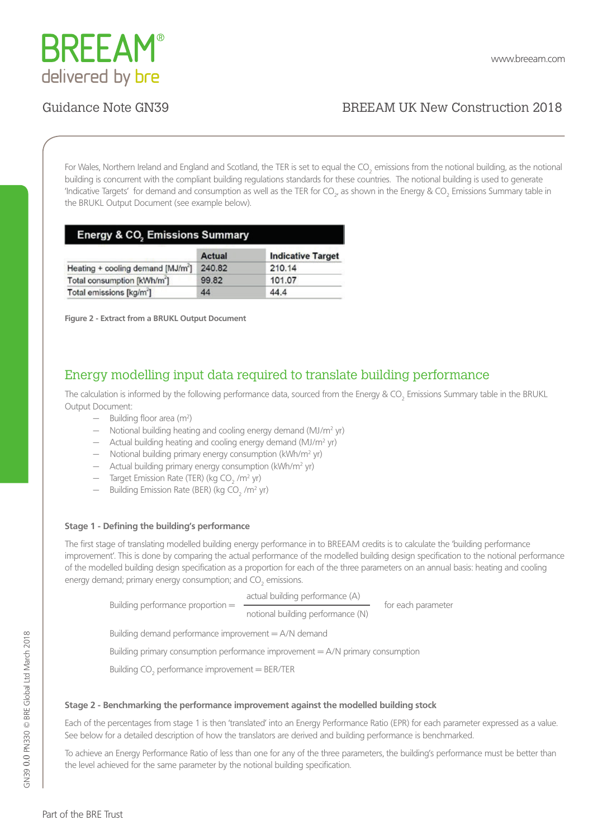



## Guidance Note GN39

## BREEAM UK New Construction 2018

For Wales, Northern Ireland and England and Scotland, the TER is set to equal the CO<sub>2</sub> emissions from the notional building, as the notional building is concurrent with the compliant building regulations standards for these countries. The notional building is used to generate 'Indicative Targets' for demand and consumption as well as the TER for CO<sub>2</sub>, as shown in the Energy & CO<sub>2</sub> Emissions Summary table in the BRUKL Output Document (see example below).  $\frac{1}{2}$  for a statistic statistic summary summary summary summary summary summary summary summary summary summary summary summary summary summary summary summary summary sum

| <b>Energy &amp; CO, Emissions Summary</b> |        |                          |  |
|-------------------------------------------|--------|--------------------------|--|
|                                           | Actual | <b>Indicative Target</b> |  |
| Heating + cooling demand $[MJ/m^2]$       | 240.82 | 210.14                   |  |
| Total consumption [kWh/m <sup>2</sup> ]   | 99.82  | 101.07                   |  |
| Total emissions [kg/m <sup>2</sup> ]      | 44     | 44.4                     |  |

**Figure 2 - Extract from a BRUKL Output Document Figure 2 - Extract from a BRUKL Output Document**

#### Energy modelling input data required to translate building performance Output Document:

The calculation is informed by the following performance data, sourced from the Energy & CO<sub>2</sub> Emissions Summary table in the BRUKL Output Document: **And cooling and cooling energy demand (MJ/m2** yr) and cooling energy demand (MJ/m2 yr) and cooling energy demand (MJ/m2 yr) and cooling energy demand (MJ/m2 yr) and cooling energy demand (MJ/m2 yr) and co

- $-$  Building floor area (m<sup>2</sup>)
- $-$  Notional building heating and cooling energy demand (MJ/m<sup>2</sup> yr)
- $-$  Actual building heating and cooling energy demand (MJ/m<sup>2</sup> yr)
- Notional building primary energy consumption (kWh/m<sup>2</sup> yr)
- Actual building primary energy consumption (kWh/m<sup>2</sup> yr)
	- Target Emission Rate (TER) (kg CO<sub>2</sub> /m<sup>2</sup> yr)
- Building Emission Rate (BER) (kg CO<sub>2</sub> /m<sup>2</sup> yr)

#### **improvement of the stage of the actual performance** of the modelled building design specification to the notional performance of the notional performance of the notional performance of the notional performance of the noti performance of the modelled building design specification as a proportion for the three parameters on annual basis  $\frac{1}{n}$

The first stage of translating modelled building energy performance in to BREEAM credits is to calculate the 'building performance improvement'. This is done by comparing the actual performance of the modelled building design specification to the notional performance Improvement: This is done by compainty the detail performance or the modelled building design specification to the hodonar performance or the modelled building design specification as a proportion for each of the three par en the modelled building design specification as a proportion for each or the three<br>energy demand; primary energy consumption; and CO<sub>2</sub> emissions.

|  |  | actual building performance (A) |  |
|--|--|---------------------------------|--|
|  |  |                                 |  |

Building performance proportion = and hotional building performance (N) Building performance proportion =  $\overline{\phantom{a}}$ 

Building demand performance improvement = A/N demand

Building primary consumption performance improvement = A/N primary consumption

Building  $\text{CO}_2$  performance improvement = BER/TER

### Stage 2 - Benchmarking the performance improvement against the modelled building stock

Each of the percentages from stage 1 is then 'translated' into an Energy Performance Ratio (EPR) for each parameter expressed as a value. See below for a detailed description of how the translators are derived and building performance is benchmarked.

To achieve an Energy Performance Ratio of less than one for any of the three parameters, the building's performance must be better than the level achieved for the same parameter by the notional building specification.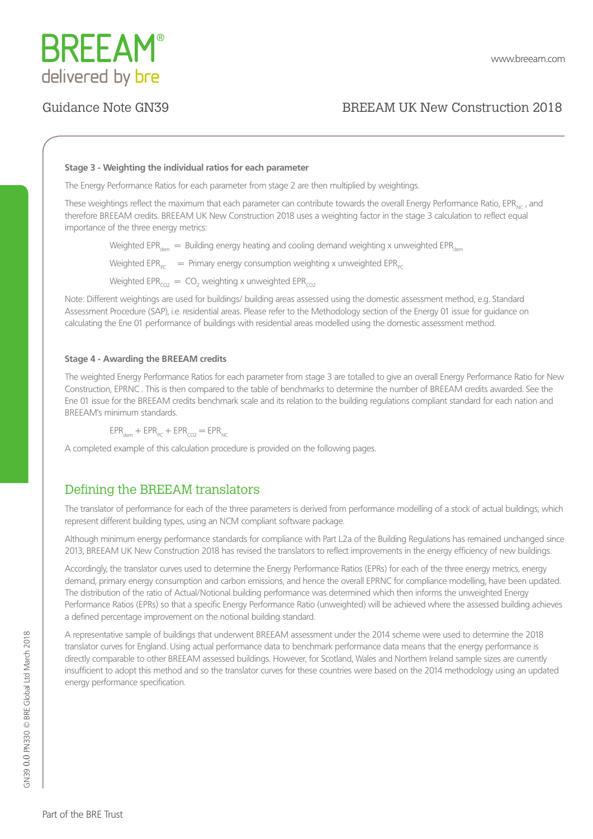

### **Stage 3 - Weighting the individual ratios for each parameter**

The Energy Performance Ratios for each parameter from stage 2 are then multiplied by weightings.

These weightings reflect the maximum that each parameter can contribute towards the overall Energy Performance Ratio, EPR<sub>NC</sub>, and therefore BREEAM credits. BREEAM UK New Construction 2018 uses a weighting factor in the stage 3 calculation to reflect equal importance of the three energy metrics:

Weighted EPR $_{\text{dom}} =$  Building energy heating and cooling demand weighting x unweighted EPR $_{\text{dom}}$ 

Weighted EPR<sub>PC</sub> = Primary energy consumption weighting x unweighted EPR<sub>PC</sub>

Weighted EPR $_{\rm CO2} =$  CO<sub>2</sub> weighting x unweighted EPR $_{\rm CO2}$ 

Note: Different weightings are used for buildings/ building areas assessed using the domestic assessment method, e.g. Standard Assessment Procedure (SAP), i.e. residential areas. Please refer to the Methodology section of the Energy 01 issue for guidance on calculating the Ene 01 performance of buildings with residential areas modelled using the domestic assessment method.

### **Stage 4 - Awarding the BREEAM credits**

The weighted Energy Performance Ratios for each parameter from stage 3 are totalled to give an overall Energy Performance Ratio for New Construction, EPRNC . This is then compared to the table of benchmarks to determine the number of BREEAM credits awarded. See the Ene 01 issue for the BREEAM credits benchmark scale and its relation to the building regulations compliant standard for each nation and BREEAM's minimum standards.

 $EPR_{\text{dom}} + EPR_{\text{loc}} + EPR_{\text{cov}} = EPR_{\text{loc}}$ 

A completed example of this calculation procedure is provided on the following pages.

## Defining the BREEAM translators

The translator of performance for each of the three parameters is derived from performance modelling of a stock of actual buildings, which represent different building types, using an NCM compliant software package.

Although minimum energy performance standards for compliance with Part L2a of the Building Regulations has remained unchanged since 2013, BREEAM UK New Construction 2018 has revised the translators to reflect improvements in the energy efficiency of new buildings.

Accordingly, the translator curves used to determine the Energy Performance Ratios (EPRs) for each of the three energy metrics, energy demand, primary energy consumption and carbon emissions, and hence the overall EPRNC for compliance modelling, have been updated. The distribution of the ratio of Actual/Notional building performance was determined which then informs the unweighted Energy Performance Ratios (EPRs) so that a specific Energy Performance Ratio (unweighted) will be achieved where the assessed building achieves a defined percentage improvement on the notional building standard.

A representative sample of buildings that underwent BREEAM assessment under the 2014 scheme were used to determine the 2018 translator curves for England. Using actual performance data to benchmark performance data means that the energy performance is directly comparable to other BREEAM assessed buildings. However, for Scotland, Wales and Northern Ireland sample sizes are currently insufficient to adopt this method and so the translator curves for these countries were based on the 2014 methodology using an updated energy performance specification.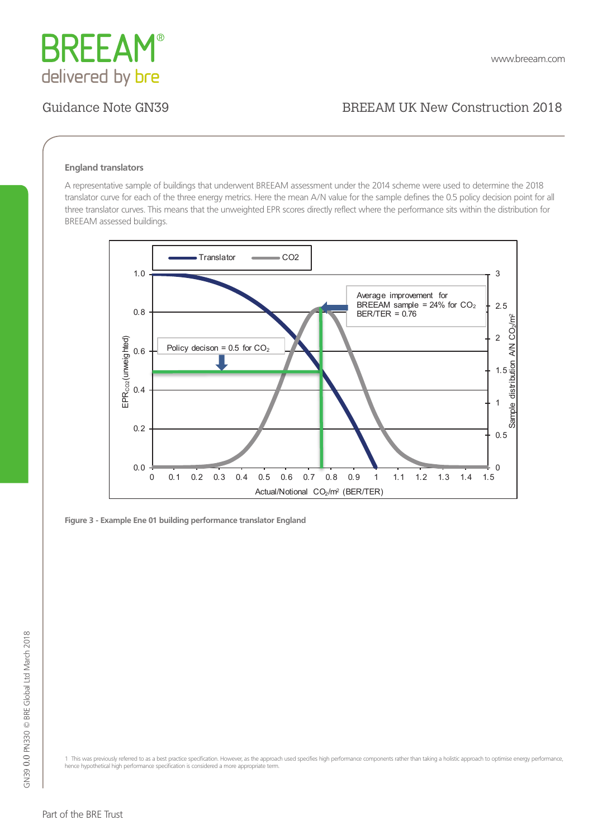

### **England translators**

A representative sample of buildings that underwent BREEAM assessment under the 2014 scheme were used to determine the 2018 The translator curve for each of the three energy metrics. Here the mean A/N value for the sample defines the 0.5 policy decision point for all translator curve for each of the three energy metrics. Here the mean A/N value three translator curves. This means that the unweighted EPR scores directly reflect where the performance sits within the distribution for BREEAM assessed buildings.



**Figure 3 - Example Ene 01 building performance translator England**

1 This was previously referred to as a best practice specification. However, as the approach used specifies high performance components rather than taking a holistic approach to optimise energy performance,<br>hence hypotheti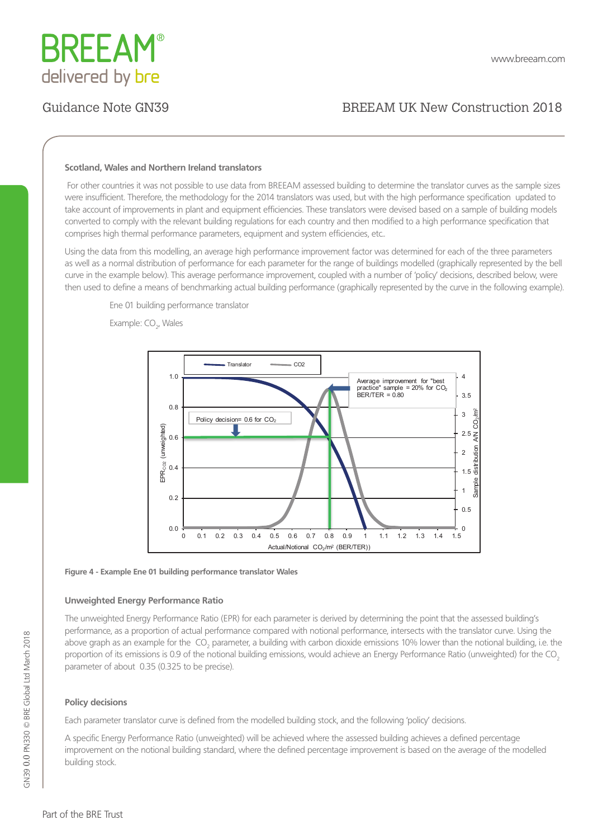

### **Scotland, Wales and Northern Ireland translators**

were insumdent. Therefore, the methodology for the 2014 translators was used, but with the nigh performance spedification updated to<br>take account of improvements in plant and equipment efficiencies. These translators were converted to comply with the relevant building regulations for each country and then modified to a high performance specification that For other countries it was not possible to use data from BREEAM assessed building to determine the translator curves as the sample sizes were insufficient. Therefore, the methodology for the 2014 translators was used, but with the high performance specification updated to comprises high thermal performance parameters, equipment and system efficiencies, etc..

as well as a normal distribution of performance for each parameter for the range of buildings modelled (graphically represented by the bell curve in the example below). This average performance improvement, coupled with a number of 'policy' decisions, described below, were Using the data from this modelling, an average high performance improvement factor was determined for each of the three parameters then used to define a means of benchmarking actual building performance (graphically represented by the curve in the following example).

Ene 01 building performance translator

Example: CO<sub>2</sub>, Wales



### **Figure 4 - Example Ene 01 building performance translator Wales Figure 4 - Example Ene 01 building performance translator Wales**

#### **Unweighted Energy Performance Ratio** Unweighted Energy Performance Ratio  $T_{\rm eff}$  Performance Ratio (EPR) for each parameter is determining that the point that the assessed building the assessed building the point that the assessed building the assessed building that the assessed building the

The unweighted Energy Performance Ratio (EPR) for each parameter is derived by determining the point that the assessed building's performance, as a proportion of actual performance compared with notional performance, intersects with the translator curve. Using the above graph as an example for the CO<sub>2</sub> parameter, a building with carbon dioxide emissions 10% lower than the notional building, i.e. the proportion of its emissions is 0.9 of the notional building emissions, would achieve an Energy Performance Ratio (unweighted) for the CO<sub>3</sub> parameter of about  $\,$  0.35 (0.325 to be precise).  $\alpha$  example for the  $\mathcal{C}\mathcal{O}_2$  parameter, a bulk

### **Policy decisions**

Each parameter translator curve is defined from the modelled building stock, and the following 'policy' decisions.

A specific Energy Performance Ratio (unweighted) will be achieved where the assessed building achieves a defined percentage improvement on the notional building standard, where the defined percentage improvement is based on the average of the modelled building stock. de de alican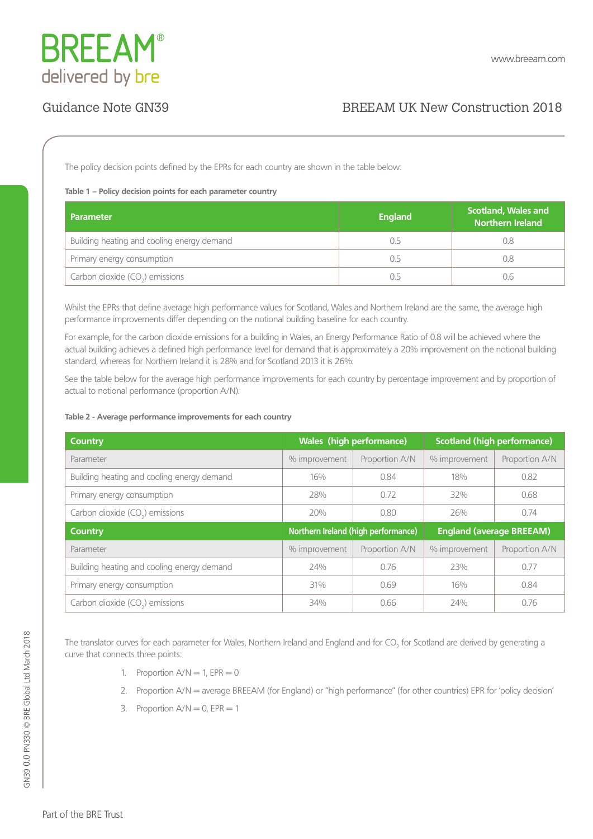

The policy decision points defined by the EPRs for each country are shown in the table below:

### **Table 1 – Policy decision points for each parameter country**

| <b>Parameter</b>                            | <b>England</b> | <b>Scotland, Wales and</b><br><b>Northern Ireland</b> |
|---------------------------------------------|----------------|-------------------------------------------------------|
| Building heating and cooling energy demand  |                | 0.8                                                   |
| Primary energy consumption                  |                | 0.8                                                   |
| Carbon dioxide (CO <sub>2</sub> ) emissions |                | 0.6                                                   |

Whilst the EPRs that define average high performance values for Scotland, Wales and Northern Ireland are the same, the average high performance improvements differ depending on the notional building baseline for each country.

For example, for the carbon dioxide emissions for a building in Wales, an Energy Performance Ratio of 0.8 will be achieved where the actual building achieves a defined high performance level for demand that is approximately a 20% improvement on the notional building standard, whereas for Northern Ireland it is 28% and for Scotland 2013 it is 26%.

See the table below for the average high performance improvements for each country by percentage improvement and by proportion of actual to notional performance (proportion A/N).

#### **Table 2 - Average performance improvements for each country**

| Country                                     |                                     | <b>Wales</b> (high performance) | <b>Scotland (high performance)</b> |                |                                 |  |
|---------------------------------------------|-------------------------------------|---------------------------------|------------------------------------|----------------|---------------------------------|--|
| Parameter                                   | % improvement                       | Proportion A/N                  | % improvement                      | Proportion A/N |                                 |  |
| Building heating and cooling energy demand  | 16%                                 | 0.84                            | 18%                                | 0.82           |                                 |  |
| Primary energy consumption                  | 28%                                 | 0.72                            | 32%                                | 0.68           |                                 |  |
| Carbon dioxide (CO <sub>2</sub> ) emissions | 20%                                 | 0.80                            | 26%                                | 0.74           |                                 |  |
| <b>Country</b>                              | Northern Ireland (high performance) |                                 |                                    |                | <b>England (average BREEAM)</b> |  |
| Parameter                                   | % improvement                       | Proportion A/N                  | % improvement                      | Proportion A/N |                                 |  |
| Building heating and cooling energy demand  | 24%                                 | 0.76                            | 23%                                | 0.77           |                                 |  |
| Primary energy consumption                  | 31%                                 | 0.69                            | 16%                                | 0.84           |                                 |  |
| Carbon dioxide (CO <sub>2</sub> ) emissions | 34%                                 | 0.66                            | 24%                                | 0.76           |                                 |  |

The translator curves for each parameter for Wales, Northern Ireland and England and for CO<sub>2</sub> for Scotland are derived by generating a curve that connects three points:

- 1. Proportion  $A/N = 1$ , EPR = 0
- 2. Proportion A/N = average BREEAM (for England) or "high performance" (for other countries) EPR for 'policy decision'
- 3. Proportion  $A/N = 0$ . EPR = 1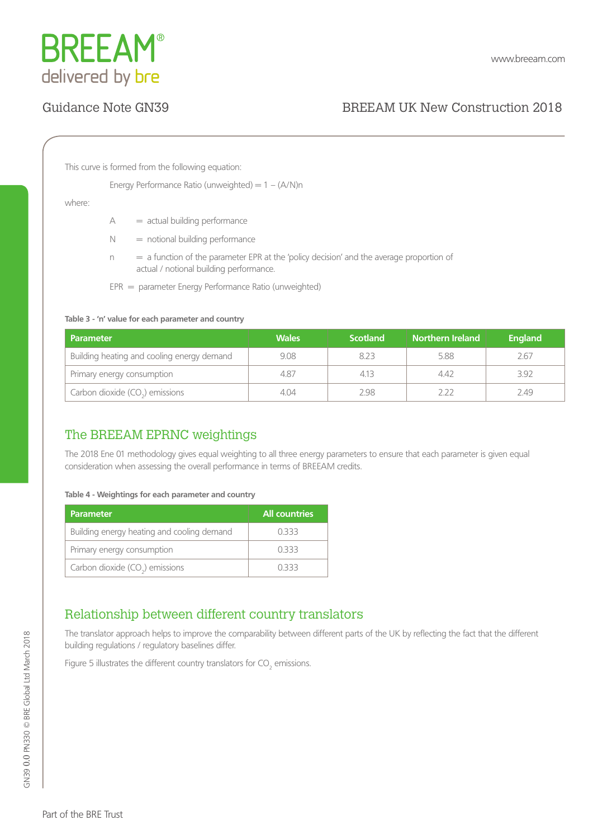

This curve is formed from the following equation:

Energy Performance Ratio (unweighted) =  $1 - (A/N)n$ 

where:

- $A = actual building performance$
- $N =$  notional building performance
- $n = a$  function of the parameter EPR at the 'policy decision' and the average proportion of actual / notional building performance.

EPR = parameter Energy Performance Ratio (unweighted)

#### **Table 3 - 'n' value for each parameter and country**

| <b>Parameter</b>                           | <b>Wales</b> | <b>Scotland</b> | <b>Northern Ireland</b> | <b>England</b> |
|--------------------------------------------|--------------|-----------------|-------------------------|----------------|
| Building heating and cooling energy demand | 9.08         | 823             | 5.88                    | 2.67           |
| Primary energy consumption                 | 4.87         | 413             | 442                     | 3.92           |
| Carbon dioxide $(CO2)$ emissions           | 404          | 298             |                         | 249            |

## The BREEAM EPRNC weightings

The 2018 Ene 01 methodology gives equal weighting to all three energy parameters to ensure that each parameter is given equal consideration when assessing the overall performance in terms of BREEAM credits.

#### **Table 4 - Weightings for each parameter and country**

| Parameter                                   | <b>All countries</b> |
|---------------------------------------------|----------------------|
| Building energy heating and cooling demand  | 0.333                |
| Primary energy consumption                  | 0333                 |
| Carbon dioxide (CO <sub>2</sub> ) emissions | 0333                 |

## Relationship between different country translators

The translator approach helps to improve the comparability between different parts of the UK by reflecting the fact that the different building regulations / regulatory baselines differ.

Figure 5 illustrates the different country translators for CO<sub>2</sub> emissions.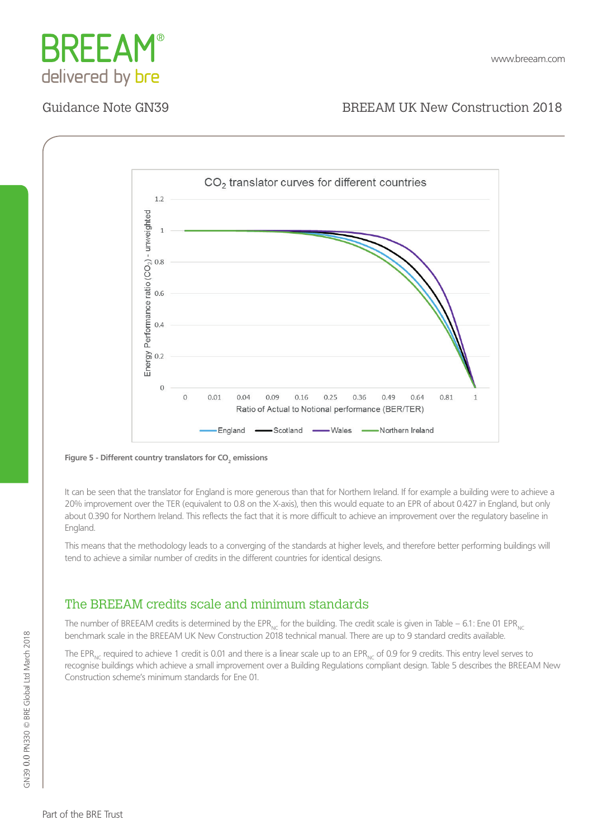

## BREEAM UK New Construction 2018  $\frac{1}{2}$

Guidance Note GN39 BREEAM UK New Construction 2018



### **Figure 5** - Different country translators for CO<sub>2</sub> emissions

It can be seen that the translator for England is more generous than that for Northern Ireland. If for example a building were to achieve a It can be seen that the translator for England is more generous than that for Northern Ireland. If for example a building were to achieve a 20% improvement over the TER (equivalent to 0.8 on the X-axis), then this would equate to an EPR of about 0.427 in England, but only about 0.390 for Northern Ireland. This reflects the fact that it is more difficult to achieve an improvement over the regulatory baseline in England.

This means that the methodology leads to a converging of the standards at higher levels, and therefore better performing buildings will  $T_{\rm eff}$  and  $T_{\rm eff}$  scales scale and minimum standards scales scales scales scales scales scales scales scales scales scales scales scales scales scales scales scales scales scales scales scales scales scales scales sca tend to achieve a similar number of credits in the different countries for identical designs.

## The BREEAM credits scale and minimum standards

The number of BREEAM credits is determined by the EPR $_{\sf NC}$  for the building. The credit scale is given in Table – 6.1: Ene 01 EPR $_{\sf NC}$ benchmark scale in the BREEAM UK New Construction 2018 technical manual. There are up to 9 standard credits available.

PF<br>ni:<br>ru The EPR<sub>NC</sub> required to achieve 1 credit is 0.01 and there is a linear scale up to an EPR<sub>NC</sub> of 0.9 for 9 credits. This entry level serves to recognise buildings which achieve a small improvement over a Building Regulations compliant design. Table 5 describes the BREEAM New Construction scheme's minimum standards for Ene 01.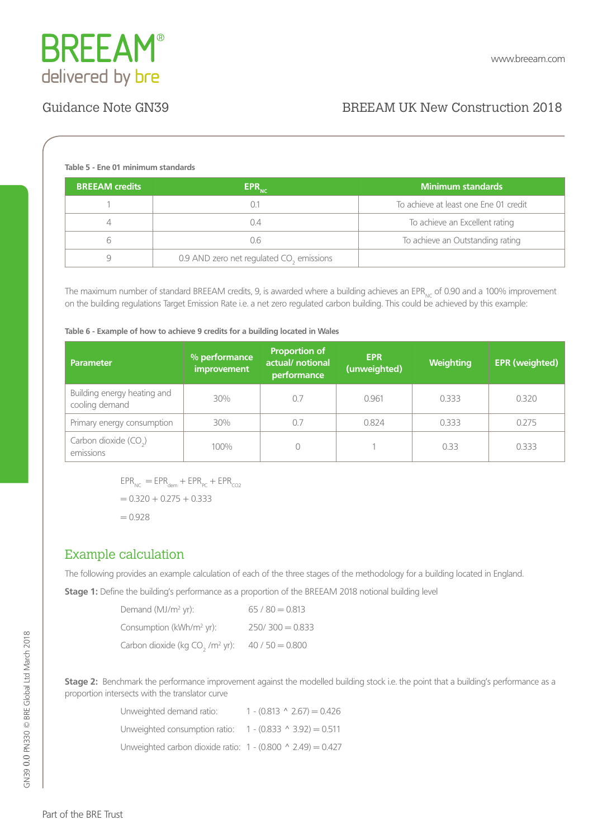#### **Table 5 - Ene 01 minimum standards**

| <b>BREEAM</b> credits | EPR <sub>NC</sub>                                    | Minimum standards                     |
|-----------------------|------------------------------------------------------|---------------------------------------|
|                       | 0.1                                                  | To achieve at least one Ene 01 credit |
|                       | 04                                                   | To achieve an Excellent rating        |
| h                     | 06                                                   | To achieve an Outstanding rating      |
| $\bigcirc$            | 0.9 AND zero net regulated CO <sub>2</sub> emissions |                                       |

The maximum number of standard BREEAM credits, 9, is awarded where a building achieves an EPR<sub>NC</sub> of 0.90 and a 100% improvement on the building regulations Target Emission Rate i.e. a net zero regulated carbon building. This could be achieved by this example:

#### **Table 6 - Example of how to achieve 9 credits for a building located in Wales**

| <b>Parameter</b>                              | % performance<br>improvement | <b>Proportion of</b><br>actual/ notional<br>performance | <b>EPR</b><br>(unweighted) | Weighting | <b>EPR</b> (weighted) |
|-----------------------------------------------|------------------------------|---------------------------------------------------------|----------------------------|-----------|-----------------------|
| Building energy heating and<br>cooling demand | 30%                          | 0.7                                                     | 0.961                      | 0.333     | 0.320                 |
| Primary energy consumption                    | 30%                          | 0.7                                                     | 0.824                      | 0.333     | 0.275                 |
| Carbon dioxide $(CO_2)$<br>emissions          | $100\%$                      |                                                         |                            | 0.33      | 0.333                 |

 $EPR_{NC} = EPR_{dem} + EPR_{PC} + EPR_{CO2}$  $= 0.320 + 0.275 + 0.333$  $= 0.928$ 

### Example calculation

The following provides an example calculation of each of the three stages of the methodology for a building located in England.

**Stage 1:** Define the building's performance as a proportion of the BREEAM 2018 notional building level

| Demand (MJ/m <sup>2</sup> yr):                 | $65/80 = 0.813$   |
|------------------------------------------------|-------------------|
| Consumption (kWh/m <sup>2</sup> yr):           | $250/300 = 0.833$ |
| Carbon dioxide (kg $CO$ , /m <sup>2</sup> yr): | $40/50 = 0.800$   |

**Stage 2:** Benchmark the performance improvement against the modelled building stock i.e. the point that a building's performance as a proportion intersects with the translator curve

| Unweighted demand ratio:                                               | $1 - (0.813 \cdot 2.67) = 0.426$ |
|------------------------------------------------------------------------|----------------------------------|
| Unweighted consumption ratio: $1 - (0.833 \cdot 3.92) = 0.511$         |                                  |
| Unweighted carbon dioxide ratio: $1 - (0.800 \text{ A } 2.49) = 0.427$ |                                  |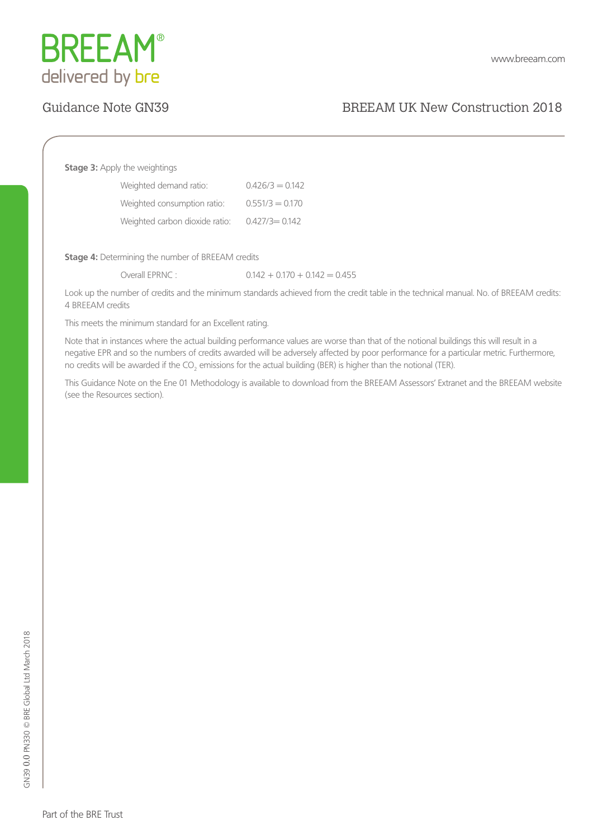

**Stage 3:** Apply the weightings

| Weighted demand ratio:         | $0.426/3 = 0.142$ |
|--------------------------------|-------------------|
| Weighted consumption ratio:    | $0.551/3 = 0.170$ |
| Weighted carbon dioxide ratio: | $0.427/3 = 0.142$ |

**Stage 4:** Determining the number of BREEAM credits

Overall EPRNC :  $0.142 + 0.170 + 0.142 = 0.455$ 

Look up the number of credits and the minimum standards achieved from the credit table in the technical manual. No. of BREEAM credits: 4 BREEAM credits

This meets the minimum standard for an Excellent rating.

Note that in instances where the actual building performance values are worse than that of the notional buildings this will result in a negative EPR and so the numbers of credits awarded will be adversely affected by poor performance for a particular metric. Furthermore, no credits will be awarded if the CO<sub>2</sub> emissions for the actual building (BER) is higher than the notional (TER).

This Guidance Note on the Ene 01 Methodology is available to download from the BREEAM Assessors' Extranet and the BREEAM website (see the Resources section).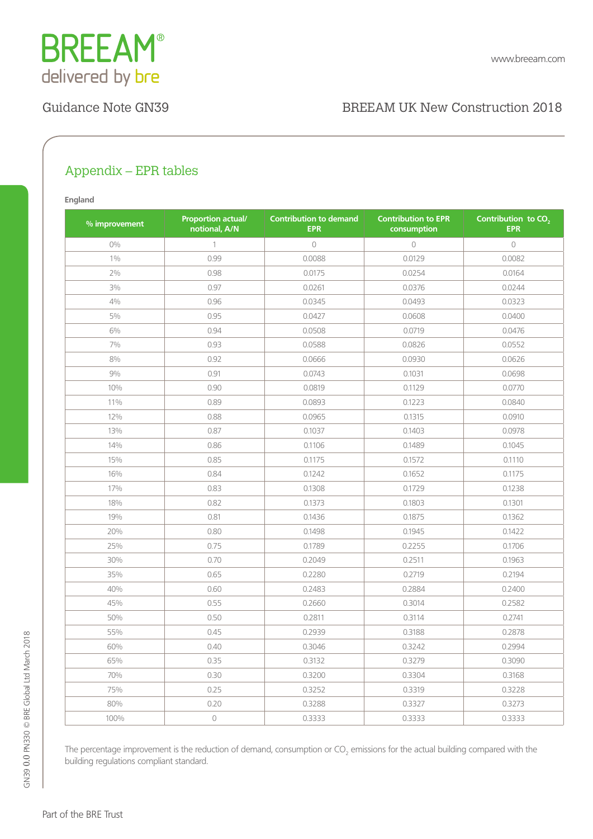

## Appendix – EPR tables

**England**

| % improvement | <b>Proportion actual/</b><br>notional, A/N | <b>Contribution to demand</b><br><b>EPR</b> | <b>Contribution to EPR</b><br>consumption | Contribution to CO <sub>2</sub><br><b>EPR</b> |
|---------------|--------------------------------------------|---------------------------------------------|-------------------------------------------|-----------------------------------------------|
| $0\%$         | $\mathbf{1}$                               | $\bigcirc$                                  | $\bigcirc$                                | $\bigcirc$                                    |
| $1\%$         | 0.99                                       | 0.0088                                      | 0.0129                                    | 0.0082                                        |
| 2%            | 0.98                                       | 0.0175                                      | 0.0254                                    | 0.0164                                        |
| $3\%$         | 0.97                                       | 0.0261                                      | 0.0376                                    | 0.0244                                        |
| 4%            | 0.96                                       | 0.0345                                      | 0.0493                                    | 0.0323                                        |
| 5%            | 0.95                                       | 0.0427                                      | 0.0608                                    | 0.0400                                        |
| 6%            | 0.94                                       | 0.0508                                      | 0.0719                                    | 0.0476                                        |
| 7%            | 0.93                                       | 0.0588                                      | 0.0826                                    | 0.0552                                        |
| 8%            | 0.92                                       | 0.0666                                      | 0.0930                                    | 0.0626                                        |
| 9%            | 0.91                                       | 0.0743                                      | 0.1031                                    | 0.0698                                        |
| 10%           | 0.90                                       | 0.0819                                      | 0.1129                                    | 0.0770                                        |
| 11%           | 0.89                                       | 0.0893                                      | 0.1223                                    | 0.0840                                        |
| 12%           | 0.88                                       | 0.0965                                      | 0.1315                                    | 0.0910                                        |
| 13%           | 0.87                                       | 0.1037                                      | 0.1403                                    | 0.0978                                        |
| 14%           | 0.86                                       | 0.1106                                      | 0.1489                                    | 0.1045                                        |
| 15%           | 0.85                                       | 0.1175                                      | 0.1572                                    | 0.1110                                        |
| 16%           | 0.84                                       | 0.1242                                      | 0.1652                                    | 0.1175                                        |
| 17%           | 0.83                                       | 0.1308                                      | 0.1729                                    | 0.1238                                        |
| 18%           | 0.82                                       | 0.1373                                      | 0.1803                                    | 0.1301                                        |
| 19%           | 0.81                                       | 0.1436                                      | 0.1875                                    | 0.1362                                        |
| 20%           | 0.80                                       | 0.1498                                      | 0.1945                                    | 0.1422                                        |
| 25%           | 0.75                                       | 0.1789                                      | 0.2255                                    | 0.1706                                        |
| 30%           | 0.70                                       | 0.2049                                      | 0.2511                                    | 0.1963                                        |
| 35%           | 0.65                                       | 0.2280                                      | 0.2719                                    | 0.2194                                        |
| 40%           | 0.60                                       | 0.2483                                      | 0.2884                                    | 0.2400                                        |
| 45%           | 0.55                                       | 0.2660                                      | 0.3014                                    | 0.2582                                        |
| 50%           | 0.50                                       | 0.2811                                      | 0.3114                                    | 0.2741                                        |
| 55%           | 0.45                                       | 0.2939                                      | 0.3188                                    | 0.2878                                        |
| 60%           | 0.40                                       | 0.3046                                      | 0.3242                                    | 0.2994                                        |
| 65%           | 0.35                                       | 0.3132                                      | 0.3279                                    | 0.3090                                        |
| 70%           | 0.30                                       | 0.3200                                      | 0.3304                                    | 0.3168                                        |
| 75%           | 0.25                                       | 0.3252                                      | 0.3319                                    | 0.3228                                        |
| 80%           | 0.20                                       | 0.3288                                      | 0.3327                                    | 0.3273                                        |
| 100%          | $\bigcirc$                                 | 0.3333                                      | 0.3333                                    | 0.3333                                        |

The percentage improvement is the reduction of demand, consumption or CO<sub>2</sub> emissions for the actual building compared with the building regulations compliant standard.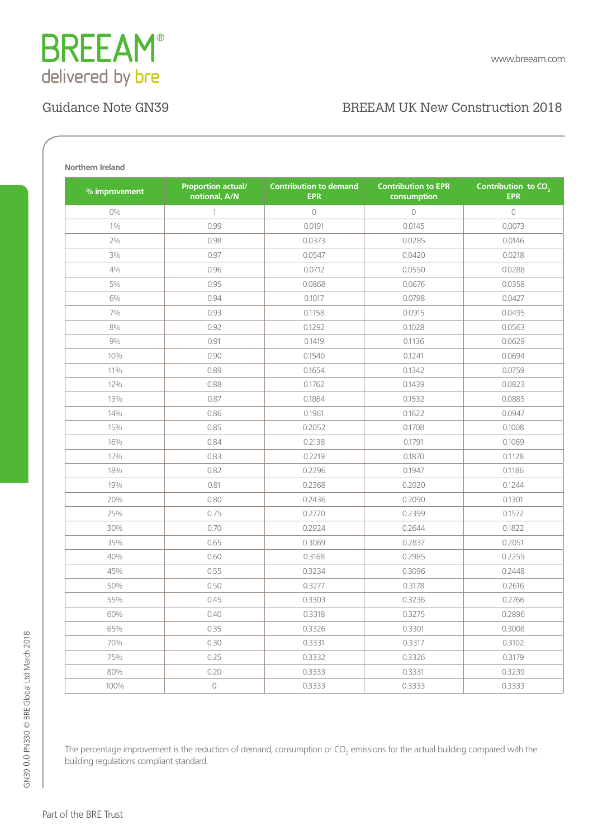

|               | <b>Proportion actual/</b> | <b>Contribution to demand</b> | <b>Contribution to EPR</b> | Contribution to CO <sub>2</sub> |
|---------------|---------------------------|-------------------------------|----------------------------|---------------------------------|
| % improvement | notional, A/N             | <b>EPR</b>                    | consumption                | <b>EPR</b>                      |
| $0\%$         | $\mathbf{1}$              | $\circ$                       | $\circ$                    | $\bigcirc$                      |
| $1\%$         | 0.99                      | 0.0191                        | 0.0145                     | 0.0073                          |
| 2%            | 0.98                      | 0.0373                        | 0.0285                     | 0.0146                          |
| $3\%$         | 0.97                      | 0.0547                        | 0.0420                     | 0.0218                          |
| 4%            | 0.96                      | 0.0712                        | 0.0550                     | 0.0288                          |
| 5%            | 0.95                      | 0.0868                        | 0.0676                     | 0.0358                          |
| 6%            | 0.94                      | 0.1017                        | 0.0798                     | 0.0427                          |
| 7%            | 0.93                      | 0.1158                        | 0.0915                     | 0.0495                          |
| 8%            | 0.92                      | 0.1292                        | 0.1028                     | 0.0563                          |
| 9%            | 0.91                      | 0.1419                        | 0.1136                     | 0.0629                          |
| 10%           | 0.90                      | 0.1540                        | 0.1241                     | 0.0694                          |
| 11%           | 0.89                      | 0.1654                        | 0.1342                     | 0.0759                          |
| 12%           | 0.88                      | 0.1762                        | 0.1439                     | 0.0823                          |
| 13%           | 0.87                      | 0.1864                        | 0.1532                     | 0.0885                          |
| 14%           | 0.86                      | 0.1961                        | 0.1622                     | 0.0947                          |
| 15%           | 0.85                      | 0.2052                        | 0.1708                     | 0.1008                          |
| 16%           | 0.84                      | 0.2138                        | 0.1791                     | 0.1069                          |
| 17%           | 0.83                      | 0.2219                        | 0.1870                     | 0.1128                          |
| 18%           | 0.82                      | 0.2296                        | 0.1947                     | 0.1186                          |
| 19%           | 0.81                      | 0.2368                        | 0.2020                     | 0.1244                          |
| 20%           | 0.80                      | 0.2436                        | 0.2090                     | 0.1301                          |
| 25%           | 0.75                      | 0.2720                        | 0.2399                     | 0.1572                          |
| 30%           | 0.70                      | 0.2924                        | 0.2644                     | 0.1822                          |
| 35%           | 0.65                      | 0.3069                        | 0.2837                     | 0.2051                          |
| 40%           | 0.60                      | 0.3168                        | 0.2985                     | 0.2259                          |
| 45%           | 0.55                      | 0.3234                        | 0.3096                     | 0.2448                          |
| 50%           | 0.50                      | 0.3277                        | 0.3178                     | 0.2616                          |
| 55%           | 0.45                      | 0.3303                        | 0.3236                     | 0.2766                          |
| 60%           | 0.40                      | 0.3318                        | 0.3275                     | 0.2896                          |
| 65%           | 0.35                      | 0.3326                        | 0.3301                     | 0.3008                          |
| 70%           | 0.30                      | 0.3331                        | 0.3317                     | 0.3102                          |
| 75%           | 0.25                      | 0.3332                        | 0.3326                     | 0.3179                          |
| 80%           | 0.20                      | 0.3333                        | 0.3331                     | 0.3239                          |
| 100%          | $\circ$                   | 0.3333                        | 0.3333                     | 0.3333                          |

The percentage improvement is the reduction of demand, consumption or CO<sub>2</sub> emissions for the actual building compared with the building regulations compliant standard.

www.breeam.com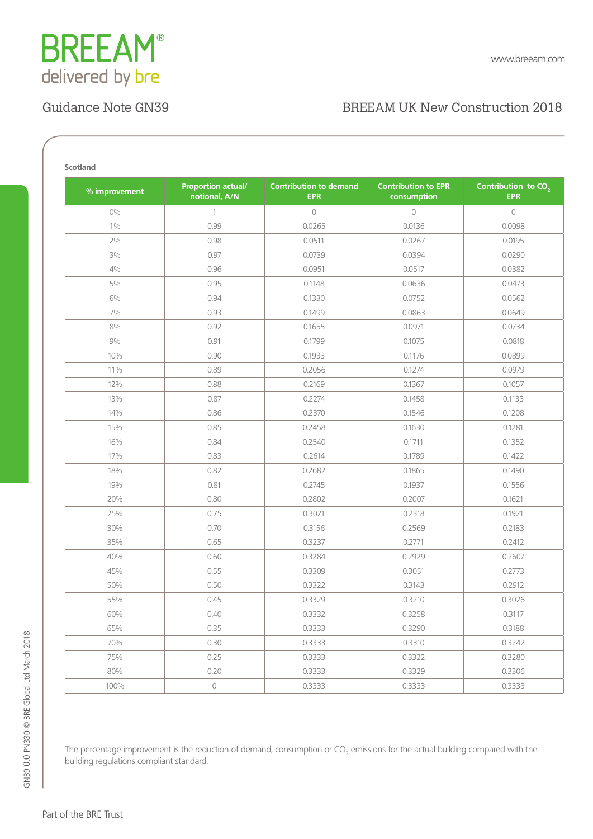

| % improvement | <b>Proportion actual/</b><br>notional, A/N | <b>Contribution to demand</b><br><b>EPR</b> | <b>Contribution to EPR</b><br>consumption | Contribution to CO <sub>2</sub><br><b>EPR</b> |
|---------------|--------------------------------------------|---------------------------------------------|-------------------------------------------|-----------------------------------------------|
| $O\%$         | $\mathbf{1}$                               | $\circ$                                     | $\sqrt{a}$                                | $\sqrt{a}$                                    |
| $1\%$         | 0.99                                       | 0.0265                                      | 0.0136                                    | 0.0098                                        |
| 2%            | 0.98                                       | 0.0511                                      | 0.0267                                    | 0.0195                                        |
| $3\%$         | 0.97                                       | 0.0739                                      | 0.0394                                    | 0.0290                                        |
| 4%            | 0.96                                       | 0.0951                                      | 0.0517                                    | 0.0382                                        |
| 5%            | 0.95                                       | 0.1148                                      | 0.0636                                    | 0.0473                                        |
| 6%            | 0.94                                       | 0.1330                                      | 0.0752                                    | 0.0562                                        |
| 7%            | 0.93                                       | 0.1499                                      | 0.0863                                    | 0.0649                                        |
| 8%            | 0.92                                       | 0.1655                                      | 0.0971                                    | 0.0734                                        |
| 9%            | 0.91                                       | 0.1799                                      | 0.1075                                    | 0.0818                                        |
| 10%           | 0.90                                       | 0.1933                                      | 0.1176                                    | 0.0899                                        |
| 11%           | 0.89                                       | 0.2056                                      | 0.1274                                    | 0.0979                                        |
| 12%           | 0.88                                       | 0.2169                                      | 0.1367                                    | 0.1057                                        |
| 13%           | 0.87                                       | 0.2274                                      | 0.1458                                    | 0.1133                                        |
| 14%           | 0.86                                       | 0.2370                                      | 0.1546                                    | 0.1208                                        |
| 15%           | 0.85                                       | 0.2458                                      | 0.1630                                    | 0.1281                                        |
| 16%           | 0.84                                       | 0.2540                                      | 0.1711                                    | 0.1352                                        |
| 17%           | 0.83                                       | 0.2614                                      | 0.1789                                    | 0.1422                                        |
| 18%           | 0.82                                       | 0.2682                                      | 0.1865                                    | 0.1490                                        |
| 19%           | 0.81                                       | 0.2745                                      | 0.1937                                    | 0.1556                                        |
| 20%           | 0.80                                       | 0.2802                                      | 0.2007                                    | 0.1621                                        |
| 25%           | 0.75                                       | 0.3021                                      | 0.2318                                    | 0.1921                                        |
| 30%           | 0.70                                       | 0.3156                                      | 0.2569                                    | 0.2183                                        |
| 35%           | 0.65                                       | 0.3237                                      | 0.2771                                    | 0.2412                                        |
| 40%           | 0.60                                       | 0.3284                                      | 0.2929                                    | 0.2607                                        |
| 45%           | 0.55                                       | 0.3309                                      | 0.3051                                    | 0.2773                                        |
| 50%           | 0.50                                       | 0.3322                                      | 0.3143                                    | 0.2912                                        |
| 55%           | 0.45                                       | 0.3329                                      | 0.3210                                    | 0.3026                                        |
| 60%           | 0.40                                       | 0.3332                                      | 0.3258                                    | 0.3117                                        |
| 65%           | 0.35                                       | 0.3333                                      | 0.3290                                    | 0.3188                                        |
| 70%           | 0.30                                       | 0.3333                                      | 0.3310                                    | 0.3242                                        |
| 75%           | 0.25                                       | 0.3333                                      | 0.3322                                    | 0.3280                                        |
| 80%           | 0.20                                       | 0.3333                                      | 0.3329                                    | 0.3306                                        |
| 100%          | $\bigcirc$                                 | 0.3333                                      | 0.3333                                    | 0.3333                                        |

The percentage improvement is the reduction of demand, consumption or CO<sub>2</sub> emissions for the actual building compared with the building regulations compliant standard.